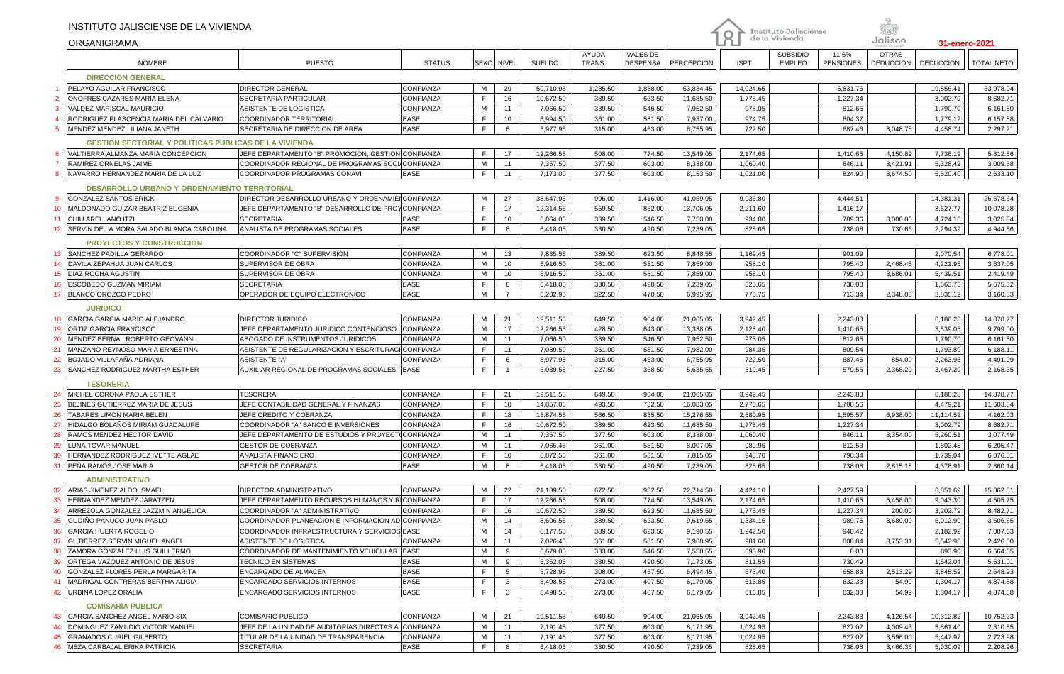|                 | INSTITUTO JALISCIENSE DE LA VIVIENDA                                         |                                                                                                        |                  |              |                 |                        |                  |                    |                        | O                    | Instituto Jalisciense<br>de la Vivienda |                      | Jalisco          |                       |                        |
|-----------------|------------------------------------------------------------------------------|--------------------------------------------------------------------------------------------------------|------------------|--------------|-----------------|------------------------|------------------|--------------------|------------------------|----------------------|-----------------------------------------|----------------------|------------------|-----------------------|------------------------|
|                 | ORGANIGRAMA                                                                  |                                                                                                        |                  |              |                 |                        | AYUDA            | <b>VALES DE</b>    |                        |                      | <b>SUBSIDIO</b>                         | 11.5%                | <b>OTRAS</b>     | 31-enero-2021         |                        |
|                 | <b>NOMBRE</b>                                                                | <b>PUESTO</b>                                                                                          | <b>STATUS</b>    | SEXO NIVEL   |                 | <b>SUELDO</b>          | TRANS.           | <b>DESPENSA</b>    | PERCEPCION             | <b>ISPT</b>          | <b>EMPLEO</b>                           | <b>PENSIONES</b>     | <b>DEDUCCION</b> | <b>DEDUCCION</b>      | <b>TOTAL NETO</b>      |
|                 | <b>DIRECCION GENERAL</b>                                                     |                                                                                                        |                  |              |                 |                        |                  |                    |                        |                      |                                         |                      |                  |                       |                        |
|                 | PELAYO AGUILAR FRANCISCO                                                     | <b>DIRECTOR GENERAL</b>                                                                                | CONFIANZA        | M            | 29              | 50,710.95              | 1,285.50         | 1,838.00           | 53,834.45              | 14,024.65            |                                         | 5,831.76             |                  | 19,856.41             | 33,978.04              |
|                 | ONOFRES CAZARES MARIA ELENA                                                  | <b>SECRETARIA PARTICULAR</b>                                                                           | CONFIANZA        | E            | 16              | 10,672.50              | 389.50           | 623.50             | 11,685.50              | 1,775.45             |                                         | 1,227.34             |                  | 3,002.79              | 8,682.71               |
| 3               | VALDEZ MARISCAL MAURICIO                                                     | ASISTENTE DE LOGISTICA                                                                                 | <b>CONFIANZA</b> | M            | 11              | 7,066.50               | 339.50           | 546.50             | 7,952.50               | 978.05               |                                         | 812.65               |                  | 1,790.70              | 6,161.80               |
|                 | RODRIGUEZ PLASCENCIA MARIA DEL CALVARIO                                      | COORDINADOR TERRITORIAL                                                                                | <b>BASE</b>      | E            | 10              | 6.994.50               | 361.00           | 581.50             | 7,937.00               | 974.75               |                                         | 804.37               |                  | 1,779.12              | 6,157.88               |
| 5               | MENDEZ MENDEZ LILIANA JANETH                                                 | SECRETARIA DE DIRECCION DE AREA                                                                        | <b>BASE</b>      | F.           | 6               | 5,977.95               | 315.00           | 463.00             | 6,755.95               | 722.50               |                                         | 687.46               | 3,048.78         | 4,458.74              | 2,297.21               |
|                 | <b>GESTION SECTORIAL Y POLITICAS PUBLICAS DE LA VIVIENDA</b>                 |                                                                                                        |                  |              |                 |                        |                  |                    |                        |                      |                                         |                      |                  |                       |                        |
|                 | VALTIERRA ALMANZA MARIA CONCEPCION                                           | JEFE DEPARTAMENTO "B" PROMOCION, GESTION CONFIANZA                                                     |                  | F.           | 17              | 12,266.55              | 508.00           | 774.50             | 13,549.05              | 2,174.65             |                                         | 1,410.65             | 4,150.89         | 7,736.19              | 5,812.86               |
|                 | RAMIREZ ORNELAS JAIME                                                        | COORDINADOR REGIONAL DE PROGRAMAS SOCI/CONFIANZA                                                       |                  | M            | 11              | 7,357.50               | 377.50           | 603.00             | 8,338.00               | 1,060.40             |                                         | 846.11               | 3,421.91         | 5,328.42              | 3,009.58               |
| 8               | NAVARRO HERNANDEZ MARIA DE LA LUZ                                            | COORDINADOR PROGRAMAS CONAVI                                                                           | <b>BASE</b>      | F.           | 11              | 7,173.00               | 377.50           | 603.00             | 8,153.50               | 1,021.00             |                                         | 824.90               | 3,674.50         | 5,520.40              | 2,633.10               |
|                 |                                                                              |                                                                                                        |                  |              |                 |                        |                  |                    |                        |                      |                                         |                      |                  |                       |                        |
| -9              | DESARROLLO URBANO Y ORDENAMIENTO TERRITORIAL<br><b>GONZALEZ SANTOS ERICK</b> |                                                                                                        |                  |              |                 |                        |                  |                    |                        |                      |                                         |                      |                  |                       |                        |
| 10 <sup>°</sup> | MALDONADO GUIZAR BEATRIZ EUGENIA                                             | DIRECTOR DESARROLLO URBANO Y ORDENAMIEI CONFIANZA<br>JEFE DEPARTAMENTO "B" DESARROLLO DE PROYCONFIANZA |                  | M<br>F.      | 27<br>17        | 38,647.95<br>12,314.55 | 996.00<br>559.50 | 1,416.00<br>832.00 | 41,059.95<br>13,706.05 | 9,936.80<br>2,211.60 |                                         | 4,444.51<br>1,416.17 |                  | 14,381.31<br>3,627.77 | 26,678.64<br>10,078.28 |
| 11              | CHIU ARELLANO ITZI                                                           | <b>SECRETARIA</b>                                                                                      | <b>BASE</b>      | F            | 10              | 6,864.00               | 339.50           | 546.50             | 7,750.00               | 934.80               |                                         | 789.36               | 3,000.00         | 4,724.16              | 3,025.84               |
| 12 <sup>2</sup> | SERVIN DE LA MORA SALADO BLANCA CAROLINA                                     | ANALISTA DE PROGRAMAS SOCIALES                                                                         | <b>BASE</b>      | F.           | 8               | 6,418.05               | 330.50           | 490.50             | 7,239.05               | 825.65               |                                         | 738.08               | 730.66           | 2,294.39              | 4,944.66               |
|                 |                                                                              |                                                                                                        |                  |              |                 |                        |                  |                    |                        |                      |                                         |                      |                  |                       |                        |
|                 | <b>PROYECTOS Y CONSTRUCCION</b>                                              |                                                                                                        |                  |              |                 |                        |                  |                    |                        |                      |                                         |                      |                  |                       |                        |
| 13 <sup>°</sup> | <b>SANCHEZ PADILLA GERARDO</b>                                               | COORDINADOR "C" SUPERVISION                                                                            | CONFIANZA        | M            | 13              | 7,835.55               | 389.50           | 623.50             | 8,848.55               | 1,169.45             |                                         | 901.09               |                  | 2,070.54              | 6,778.01               |
| 14              | DAVILA ZEPAHUA JUAN CARLOS                                                   | <b>SUPERVISOR DE OBRA</b>                                                                              | CONFIANZA        | M            | 10              | 6,916.50               | 361.00           | 581.50             | 7,859.00               | 958.10               |                                         | 795.40               | 2,468.45         | 4,221.95              | 3,637.05               |
| 15              | DIAZ ROCHA AGUSTIN                                                           | SUPERVISOR DE OBRA                                                                                     | <b>CONFIANZA</b> | M            | 10              | 6,916.50               | 361.00           | 581.50             | 7,859.00               | 958.10               |                                         | 795.40               | 3,686.01         | 5,439.51              | 2,419.49               |
| 16              | ESCOBEDO GUZMAN MIRIAM                                                       | <b>SECRETARIA</b>                                                                                      | <b>BASE</b>      | E            | 8               | 6,418.05               | 330.50           | 490.50             | 7,239.05               | 825.65               |                                         | 738.08               |                  | 1,563.73              | 5,675.32               |
| 17              | <b>BLANCO OROZCO PEDRO</b>                                                   | OPERADOR DE EQUIPO ELECTRONICO                                                                         | <b>BASE</b>      | м            | $\overline{7}$  | 6,202.95               | 322.50           | 470.50             | 6,995.95               | 773.75               |                                         | 713.34               | 2,348.03         | 3,835.12              | 3,160.83               |
|                 | <b>JURIDICO</b>                                                              |                                                                                                        |                  |              |                 |                        |                  |                    |                        |                      |                                         |                      |                  |                       |                        |
| 18              | GARCIA GARCIA MARIO ALEJANDRO                                                | <b>DIRECTOR JURIDICO</b>                                                                               | <b>CONFIANZA</b> | M            | 21              | 19,511.55              | 649.50           | 904.00             | 21,065.05              | 3,942.45             |                                         | 2,243.83             |                  | 6,186.28              | 14,878.77              |
| 19              | ORTIZ GARCIA FRANCISCO                                                       | JEFE DEPARTAMENTO JURIDICO CONTENCIOSO                                                                 | <b>CONFIANZA</b> | М            | 17              | 12,266.55              | 428.50           | 643.00             | 13,338.05              | 2,128.40             |                                         | 1,410.65             |                  | 3,539.05              | 9,799.00               |
| 20              | MENDEZ BERNAL ROBERTO GEOVANNI                                               | ABOGADO DE INSTRUMENTOS JURIDICOS                                                                      | <b>CONFIANZA</b> | M            | 11              | 7,066.50               | 339.50           | 546.50             | 7,952.50               | 978.05               |                                         | 812.65               |                  | 1,790.70              | 6,161.80               |
| 21              | MANZANO REYNOSO MARIA ERNESTINA                                              | ASISTENTE DE REGULARIZACION Y ESCRITURACI CONFIANZA                                                    |                  | F            | 11              | 7,039.50               | 361.00           | 581.50             | 7,982.00               | 984.35               |                                         | 809.54               |                  | 1,793.89              | 6,188.11               |
| 22              | BOJADO VILLAFAÑA ADRIANA                                                     | <b>ASISTENTE "A"</b>                                                                                   | <b>CONFIANZA</b> | F            | 6               | 5,977.95               | 315.00           | 463.00             | 6,755.95               | 722.50               |                                         | 687.46               | 854.00           | 2,263.96              | 4,491.99               |
| 23              | SANCHEZ RODRIGUEZ MARTHA ESTHER                                              | AUXILIAR REGIONAL DE PROGRAMAS SOCIALES IBASE                                                          |                  | F            | $\overline{1}$  | 5.039.55               | 227.50           | 368.50             | 5,635.55               | 519.45               |                                         | 579.55               | 2.368.20         | 3,467.20              | 2,168.35               |
|                 | <b>TESORERIA</b>                                                             |                                                                                                        |                  |              |                 |                        |                  |                    |                        |                      |                                         |                      |                  |                       |                        |
| 24              | MICHEL CORONA PAOLA ESTHER                                                   | <b>TESORERA</b>                                                                                        | CONFIANZA        | F            | 21              | 19,511.55              | 649.50           | 904.00             | 21,065.05              | 3,942.45             |                                         | 2,243.83             |                  | 6,186.28              | 14,878.77              |
| 25              | BEJINES GUTIERREZ MARIA DE JESUS                                             | JEFE CONTABILIDAD GENERAL Y FINANZAS                                                                   | <b>CONFIANZA</b> | F            | 18              | 14,857.05              | 493.50           | 732.50             | 16,083.05              | 2,770.65             |                                         | 1,708.56             |                  | 4,479.21              | 11,603.84              |
| 26              | TABARES LIMON MARIA BELEN                                                    | JEFE CREDITO Y COBRANZA                                                                                | <b>CONFIANZA</b> | E            | 18              | 13,874.55              | 566.50           | 835.50             | 15,276.55              | 2,580.95             |                                         | 1,595.57             | 6,938.00         | 11,114.52             | 4,162.03               |
| 27              | HIDALGO BOLAÑOS MIRIAM GUADALUPE                                             | COORDINADOR "A" BANCO E INVERSIONES                                                                    | <b>CONFIANZA</b> | F            | 16              | 10,672.50              | 389.50           | 623.50             | 11,685.50              | 1,775.45             |                                         | 1,227.34             |                  | 3,002.79              | 8,682.71               |
| 28              | RAMOS MENDEZ HECTOR DAVID                                                    | JEFE DEPARTAMENTO DE ESTUDIOS Y PROYECT(CONFIANZA                                                      |                  | М            | 11              | 7,357.50               | 377.50           | 603.00             | 8,338.00               | 1,060.40             |                                         | 846.11               | 3,354.00         | 5,260.51              | 3,077.49               |
| 29              | LUNA TOVAR MANUEL                                                            | <b>GESTOR DE COBRANZA</b>                                                                              | <b>CONFIANZA</b> | М            | 11              | 7,065.45               | 361.00           | 581.50             | 8,007.95               | 989.95               |                                         | 812.53               |                  | 1,802.48              | 6,205.47               |
| 30              | HERNANDEZ RODRIGUEZ IVETTE AGLAE                                             | <b>ANALISTA FINANCIERO</b>                                                                             | CONFIANZA        | E            | 10              | 6,872.55               | 361.00           | 581.50             | 7,815.05               | 948.70               |                                         | 790.34               |                  | 1,739.04              | 6,076.01               |
| 31              | PEÑA RAMOS JOSE MARIA                                                        | <b>GESTOR DE COBRANZA</b>                                                                              | <b>BASE</b>      | M            | 8               | 6,418.05               | 330.50           | 490.50             | 7,239.05               | 825.65               |                                         | 738.08               | 2,815.18         | 4,378.91              | 2,860.14               |
|                 | <b>ADMINISTRATIVO</b>                                                        |                                                                                                        |                  |              |                 |                        |                  |                    |                        |                      |                                         |                      |                  |                       |                        |
| 32              | ARIAS JIMENEZ ALDO ISMAEL                                                    | DIRECTOR ADMINISTRATIVO                                                                                | <b>CONFIANZA</b> | M            | 22              | 21,109.50              | 672.50           | 932.50             | 22,714.50              | 4,424.10             |                                         | 2,427.59             |                  | 6,851.69              | 15,862.81              |
| 33              | HERNANDEZ MENDEZ JARATZEN                                                    | JEFE DEPARTAMENTO RECURSOS HUMANOS Y RICONFIANZA                                                       |                  | E            | 17              | 12,266.55              | 508.00           | 774.50             | 13,549.05              | 2,174.65             |                                         | 1,410.65             | 5,458.00         | 9,043.30              | 4,505.75               |
|                 | ARREZOLA GONZALEZ JAZZMIN ANGELICA                                           | COORDINADOR "A" ADMINISTRATIVO                                                                         | CONFIANZA        | $\mathsf{F}$ | 16              | 10,672.50              | 389.50           | 623.50             | 11,685.50              | 1,775.45             |                                         | 1,227.34             | 200.00           | 3,202.79              | 8,482.71               |
| 35              | GUDIÑO PANUCO JUAN PABLO                                                     | COORDINADOR PLANEACION E INFORMACION AD CONFIANZA                                                      |                  | M            | 14              | 8,606.55               | 389.50           | 623.50             | 9,619.55               | 1,334.15             |                                         | 989.75               | 3,689.00         | 6,012.90              | 3,606.65               |
| 36              | <b>GARCIA HUERTA ROGELIO</b>                                                 | COORDINADOR INFRAESTRUCTURA Y SERVICIOS BASE                                                           |                  | M            | 14              | 8,177.55               | 389.50           | 623.50             | 9,190.55               | 1,242.50             |                                         | 940.42               |                  | 2,182.92              | 7,007.63               |
| 37              | <b>GUTIERREZ SERVIN MIGUEL ANGEL</b>                                         | ASISTENTE DE LOGISTICA                                                                                 | <b>CONFIANZA</b> | M            | 11              | 7,026.45               | 361.00           | 581.50             | 7,968.95               | 981.60               |                                         | 808.04               | 3,753.31         | 5,542.95              | 2,426.00               |
| 38              | ZAMORA GONZALEZ LUIS GUILLERMO                                               | COORDINADOR DE MANTENIMIENTO VEHICULAR BASE                                                            |                  | M            | 9               | 6,679.05               | 333.00           | 546.50             | 7,558.55               | 893.90               |                                         | 0.00                 |                  | 893.90                | 6,664.65               |
| 39              | ORTEGA VAZQUEZ ANTONIO DE JESUS                                              | TECNICO EN SISTEMAS                                                                                    | <b>BASE</b>      | M            | 9               | 6,352.05               | 330.50           | 490.50             | 7,173.05               | 811.55               |                                         | 730.49               |                  | 1,542.04              | 5,631.01               |
| 40              | GONZALEZ FLORES PERLA MARGARITA                                              | ENCARGADO DE ALMACEN                                                                                   | <b>BASE</b>      | F            | $5\phantom{.0}$ | 5,728.95               | 308.00           | 457.50             | 6,494.45               | 673.40               |                                         | 658.83               | 2,513.29         | 3,845.52              | 2,648.93               |
| 41              | MADRIGAL CONTRERAS BERTHA ALICIA                                             | <b>ENCARGADO SERVICIOS INTERNOS</b>                                                                    | <b>BASE</b>      | F.           | $\mathbf{3}$    | 5,498.55               | 273.00           | 407.50             | 6,179.05               | 616.85               |                                         | 632.33               | 54.99            | 1,304.17              | 4,874.88               |
| 42              | <b>URBINA LOPEZ ORALIA</b>                                                   | <b>ENCARGADO SERVICIOS INTERNOS</b>                                                                    | <b>BASE</b>      | F.           | $\mathbf{3}$    | 5,498.55               | 273.00           | 407.50             | 6,179.05               | 616.85               |                                         | 632.33               | 54.99            | 1,304.17              | 4,874.88               |
|                 | <b>COMISARIA PUBLICA</b>                                                     |                                                                                                        |                  |              |                 |                        |                  |                    |                        |                      |                                         |                      |                  |                       |                        |
|                 | 43 GARCIA SANCHEZ ANGEL MARIO SIX                                            | COMISARIO PUBLICO                                                                                      | CONFIANZA        | M            | 21              | 19,511.55              | 649.50           | 904.00             | 21,065.05              | 3,942.45             |                                         | 2,243.83             | 4,126.54         | 10,312.82             | 10,752.23              |
| 44              | DOMINGUEZ ZAMUDIO VICTOR MANUEL                                              | JEFE DE LA UNIDAD DE AUDITORIAS DIRECTAS A CONFIANZA                                                   |                  | M            | 11              | 7,191.45               | 377.50           | 603.00             | 8,171.95               | 1,024.95             |                                         | 827.02               | 4,009.43         | 5,861.40              | 2,310.55               |
| 45              | <b>GRANADOS CURIEL GILBERTO</b>                                              | TITULAR DE LA UNIDAD DE TRANSPARENCIA                                                                  | CONFIANZA        | M            | 11              | 7,191.45               | 377.50           | 603.00             | 8,171.95               | 1,024.95             |                                         | 827.02               | 3,596.00         | 5,447.97              | 2,723.98               |
| 46              | MEZA CARBAJAL ERIKA PATRICIA                                                 | <b>SECRETARIA</b>                                                                                      | <b>BASE</b>      | F            | 8               | 6,418.05               | 330.50           | 490.50             | 7,239.05               | 825.65               |                                         | 738.08               | 3,466.36         | 5,030.09              | 2,208.96               |